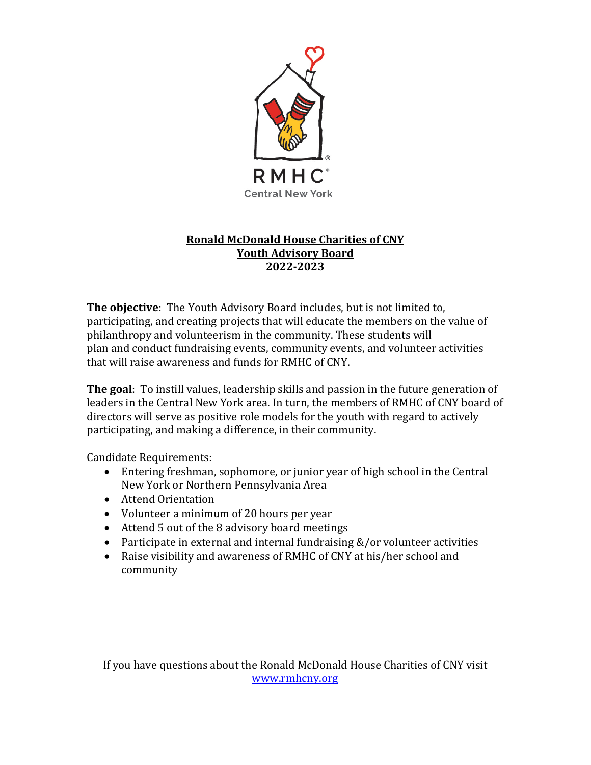

# **Ronald McDonald House Charities of CNY Youth Advisory Board 2022-2023**

**The objective**: The Youth Advisory Board includes, but is not limited to, participating, and creating projects that will educate the members on the value of philanthropy and volunteerism in the community. These students will plan and conduct fundraising events, community events, and volunteer activities that will raise awareness and funds for RMHC of CNY.

**The goal**: To instill values, leadership skills and passion in the future generation of leaders in the Central New York area. In turn, the members of RMHC of CNY board of directors will serve as positive role models for the youth with regard to actively participating, and making a difference, in their community.

Candidate Requirements:

- Entering freshman, sophomore, or junior year of high school in the Central New York or Northern Pennsylvania Area
- Attend Orientation
- Volunteer a minimum of 20 hours per year
- Attend 5 out of the 8 advisory board meetings
- Participate in external and internal fundraising &/or volunteer activities
- Raise visibility and awareness of RMHC of CNY at his/her school and community

If you have questions about the Ronald McDonald House Charities of CNY visit [www.rmhcny.org](http://www.rmhcny.org/)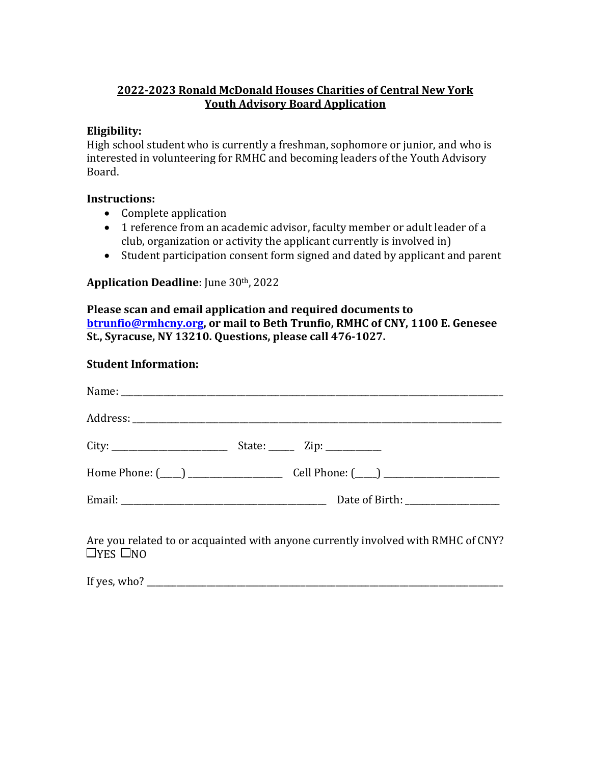# **2022-2023 Ronald McDonald Houses Charities of Central New York Youth Advisory Board Application**

#### **Eligibility:**

High school student who is currently a freshman, sophomore or junior, and who is interested in volunteering for RMHC and becoming leaders of the Youth Advisory Board.

### **Instructions:**

- Complete application
- 1 reference from an academic advisor, faculty member or adult leader of a club, organization or activity the applicant currently is involved in)
- Student participation consent form signed and dated by applicant and parent

# **Application Deadline**: June 30th, 2022

### **Please scan and email application and required documents to [btrunfio@rmhcny.org,](mailto:btrunfio@rmhcny.org) or mail to Beth Trunfio, RMHC of CNY, 1100 E. Genesee St., Syracuse, NY 13210. Questions, please call 476-1027.**

#### **Student Information:**

| State: $\_\_\_\_$ Zip: $\_\_\_\_\_\_\_\_\_$ |
|---------------------------------------------|
|                                             |
| Date of Birth: _________________            |
|                                             |

Are you related to or acquainted with anyone currently involved with RMHC of CNY?  $\sqcup$ YES  $\sqcup$ NO

If yes, who?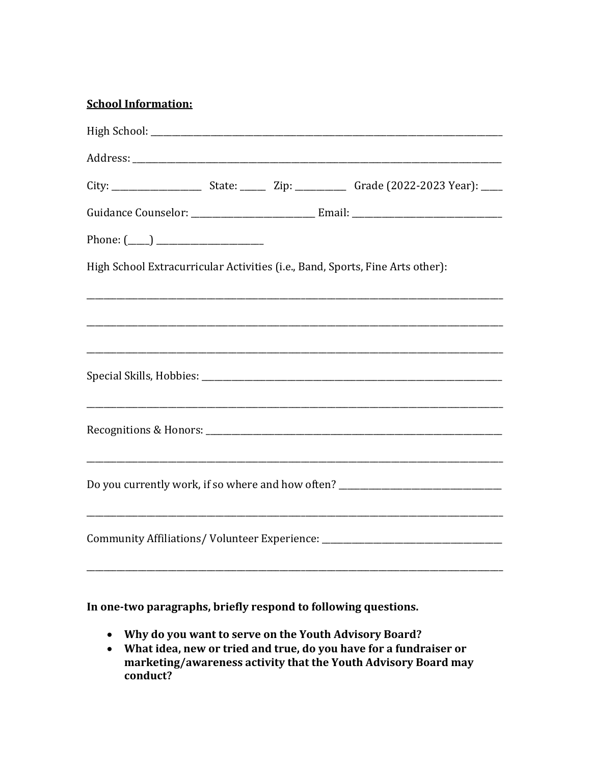| <b>School Information:</b>                                                       |  |  |  |  |  |  |
|----------------------------------------------------------------------------------|--|--|--|--|--|--|
|                                                                                  |  |  |  |  |  |  |
|                                                                                  |  |  |  |  |  |  |
|                                                                                  |  |  |  |  |  |  |
|                                                                                  |  |  |  |  |  |  |
| Phone: $(\_\_)$                                                                  |  |  |  |  |  |  |
| High School Extracurricular Activities (i.e., Band, Sports, Fine Arts other):    |  |  |  |  |  |  |
|                                                                                  |  |  |  |  |  |  |
|                                                                                  |  |  |  |  |  |  |
|                                                                                  |  |  |  |  |  |  |
|                                                                                  |  |  |  |  |  |  |
|                                                                                  |  |  |  |  |  |  |
|                                                                                  |  |  |  |  |  |  |
| Do you currently work, if so where and how often? ______________________________ |  |  |  |  |  |  |
|                                                                                  |  |  |  |  |  |  |
| Community Affiliations/Volunteer Experience: ___________________________________ |  |  |  |  |  |  |
|                                                                                  |  |  |  |  |  |  |

In one-two paragraphs, briefly respond to following questions.

- Why do you want to serve on the Youth Advisory Board?
- What idea, new or tried and true, do you have for a fundraiser or marketing/awareness activity that the Youth Advisory Board may conduct?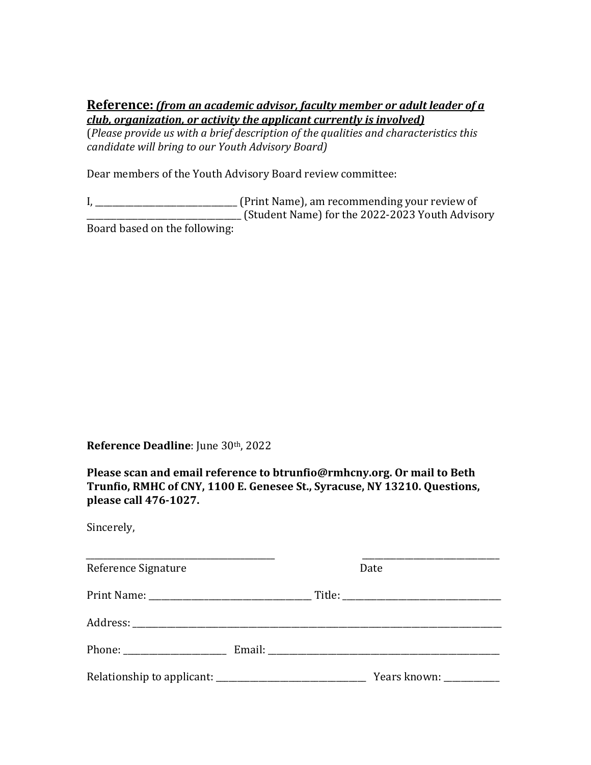# **Reference:** *(from an academic advisor, faculty member or adult leader of a club, organization, or activity the applicant currently is involved)*

(*Please provide us with a brief description of the qualities and characteristics this candidate will bring to our Youth Advisory Board)*

Dear members of the Youth Advisory Board review committee:

I, \_\_\_\_\_\_\_\_\_\_\_\_\_\_\_\_\_\_\_\_\_\_\_\_\_\_\_\_\_\_\_\_\_ (Print Name), am recommending your review of \_\_\_\_\_\_\_\_\_\_\_\_\_\_\_\_\_\_\_\_\_\_\_\_\_\_\_\_\_\_\_\_\_\_\_\_ (Student Name) for the 2022-2023 Youth Advisory

Board based on the following:

**Reference Deadline**: June 30th, 2022

**Please scan and email reference to btrunfio@rmhcny.org. Or mail to Beth Trunfio, RMHC of CNY, 1100 E. Genesee St., Syracuse, NY 13210. Questions, please call 476-1027.**

Sincerely,

| Reference Signature |  | Date                     |
|---------------------|--|--------------------------|
|                     |  |                          |
|                     |  |                          |
|                     |  |                          |
|                     |  | Years known: ___________ |